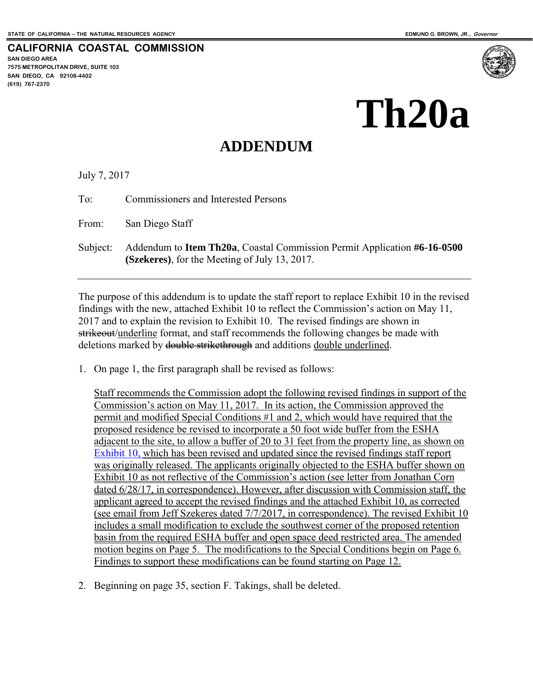**CALIFORNIA COASTAL COMMISSION SAN DIEGO AREA 7575 METROPOLITAN DRIVE, SUITE 103 SAN DIEGO, CA 92108-4402 (619) 767-2370**

## **Th20a**

## **ADDENDUM**

July 7, 2017

To: Commissioners and Interested Persons

From: San Diego Staff

Subject: Addendum to **Item Th20a**, Coastal Commission Permit Application **#6-16-0500 (Szekeres)**, for the Meeting of July 13, 2017.

The purpose of this addendum is to update the staff report to replace Exhibit 10 in the revised findings with the new, attached Exhibit 10 to reflect the Commission's action on May 11, 2017 and to explain the revision to Exhibit 10. The revised findings are shown in strikeout/underline format, and staff recommends the following changes be made with deletions marked by double strikethrough and additions double underlined.

1. On page 1, the first paragraph shall be revised as follows:

Staff recommends the Commission adopt the following revised findings in support of the Commission's action on May 11, 2017. In its action, the Commission approved the permit and modified Special Conditions #1 and 2, which would have required that the proposed residence be revised to incorporate a 50 foot wide buffer from the ESHA adjacent to the site, to allow a buffer of 20 to 31 feet from the property line, as shown on [Exhibit 10,](https://documents.coastal.ca.gov/reports/2017/7/Th20a/Th20a-7-2017-exhibits.pdf) which has been revised and updated since the revised findings staff report was originally released. The applicants originally objected to the ESHA buffer shown on Exhibit 10 as not reflective of the Commission's action (see letter from Jonathan Corn dated 6/28/17, in correspondence). However, after discussion with Commission staff, the applicant agreed to accept the revised findings and the attached Exhibit 10, as corrected (see email from Jeff Szekeres dated 7/7/2017, in correspondence). The revised Exhibit 10 includes a small modification to exclude the southwest corner of the proposed retention basin from the required ESHA buffer and open space deed restricted area. The amended motion begins on Page 5. The modifications to the Special Conditions begin on Page 6. Findings to support these modifications can be found starting on Page 12.

2. Beginning on page 35, section F. Takings, shall be deleted.